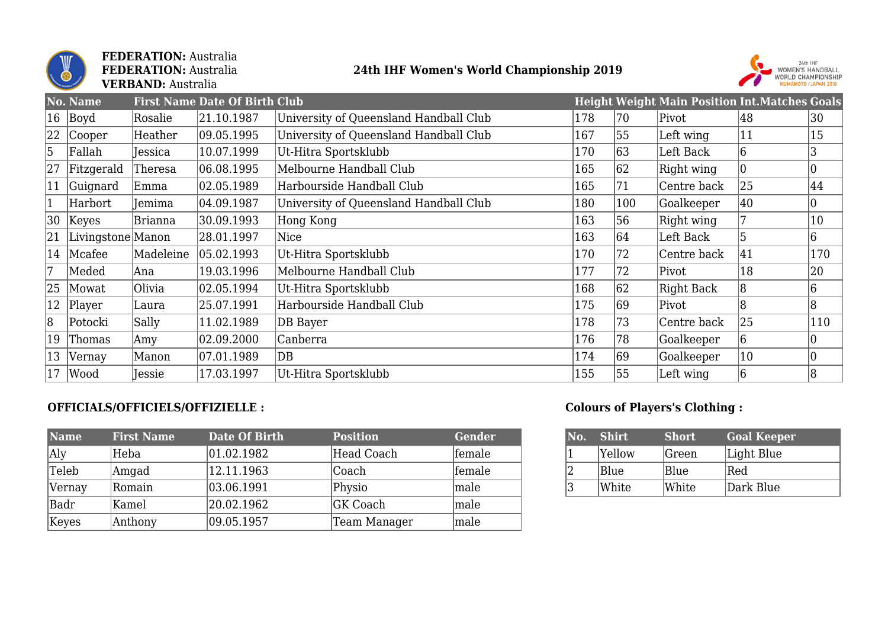

**FEDERATION:** Australia **FEDERATION:** Australia **VERBAND:** Australia

## **24th IHF Women's World Championship 2019**



|    | No. Name          |           | <b>First Name Date Of Birth Club</b> |                                        |     |     | <b>Height Weight Main Position Int. Matches Goals</b> |                |                |
|----|-------------------|-----------|--------------------------------------|----------------------------------------|-----|-----|-------------------------------------------------------|----------------|----------------|
| 16 | Boyd              | Rosalie   | 21.10.1987                           | University of Queensland Handball Club | 178 | 70  | Pivot                                                 | 48             | 30             |
| 22 | Cooper            | Heather   | 09.05.1995                           | University of Queensland Handball Club | 167 | 55  | Left wing                                             | 11             | 15             |
| 5  | Fallah            | Jessica   | 10.07.1999                           | Ut-Hitra Sportsklubb                   | 170 | 63  | Left Back                                             | 6              | 3              |
| 27 | Fitzgerald        | Theresa   | 06.08.1995                           | Melbourne Handball Club                | 165 | 62  | Right wing                                            | 10             |                |
| 11 | Guignard          | Emma      | 02.05.1989                           | Harbourside Handball Club              | 165 | 171 | Centre back                                           | 25             | 44             |
|    | Harbort           | Jemima    | 04.09.1987                           | University of Queensland Handball Club | 180 | 100 | Goalkeeper                                            | 40             |                |
| 30 | Keyes             | Brianna   | 30.09.1993                           | Hong Kong                              | 163 | 56  | Right wing                                            |                | 10             |
| 21 | Livingstone Manon |           | 28.01.1997                           | Nice                                   | 163 | 64  | Left Back                                             | 5              | 6              |
| 14 | Mcafee            | Madeleine | 05.02.1993                           | Ut-Hitra Sportsklubb                   | 170 | 72  | Centre back                                           | 41             | 170            |
| 7  | Meded             | Ana       | 19.03.1996                           | Melbourne Handball Club                | 177 | 72  | Pivot                                                 | 18             | 20             |
| 25 | Mowat             | Olivia    | 02.05.1994                           | Ut-Hitra Sportsklubb                   | 168 | 62  | Right Back                                            | 8              | 6              |
| 12 | Player            | Laura     | 25.07.1991                           | Harbourside Handball Club              | 175 | 69  | Pivot                                                 | $\overline{8}$ | $\overline{8}$ |
| 8  | Potocki           | Sally     | 11.02.1989                           | DB Bayer                               | 178 | 73  | Centre back                                           | 25             | 110            |
| 19 | Thomas            | Amy       | 02.09.2000                           | Canberra                               | 176 | 78  | Goalkeeper                                            | 6              |                |
| 13 | Vernay            | Manon     | 07.01.1989                           | DB                                     | 174 | 69  | Goalkeeper                                            | 10             | $ 0\rangle$    |
| 17 | Wood              | Jessie    | 17.03.1997                           | Ut-Hitra Sportsklubb                   | 155 | 55  | Left wing                                             | 6              | 8              |

## **OFFICIALS/OFFICIELS/OFFIZIELLE :**

| <b>Name</b> | <b>First Name</b> | Date Of Birth | <b>Position</b> | Gender       |
|-------------|-------------------|---------------|-----------------|--------------|
| Aly         | Heba              | 01.02.1982    | Head Coach      | female       |
| Teleb       | Amgad             | 12.11.1963    | Coach           | female       |
| Vernay      | Romain            | 03.06.1991    | Physio          | $\vert$ male |
| <b>Badr</b> | Kamel             | 20.02.1962    | <b>GK Coach</b> | $\vert$ male |
| Keyes       | Anthony           | 09.05.1957    | Team Manager    | male         |

## **Colours of Players's Clothing :**

| No. | <b>Shirt</b> | <b>Short</b> | <b>Goal Keeper</b> |
|-----|--------------|--------------|--------------------|
|     | Yellow       | Green        | Light Blue         |
|     | Blue         | Blue         | Red                |
| 3   | White        | White        | Dark Blue          |